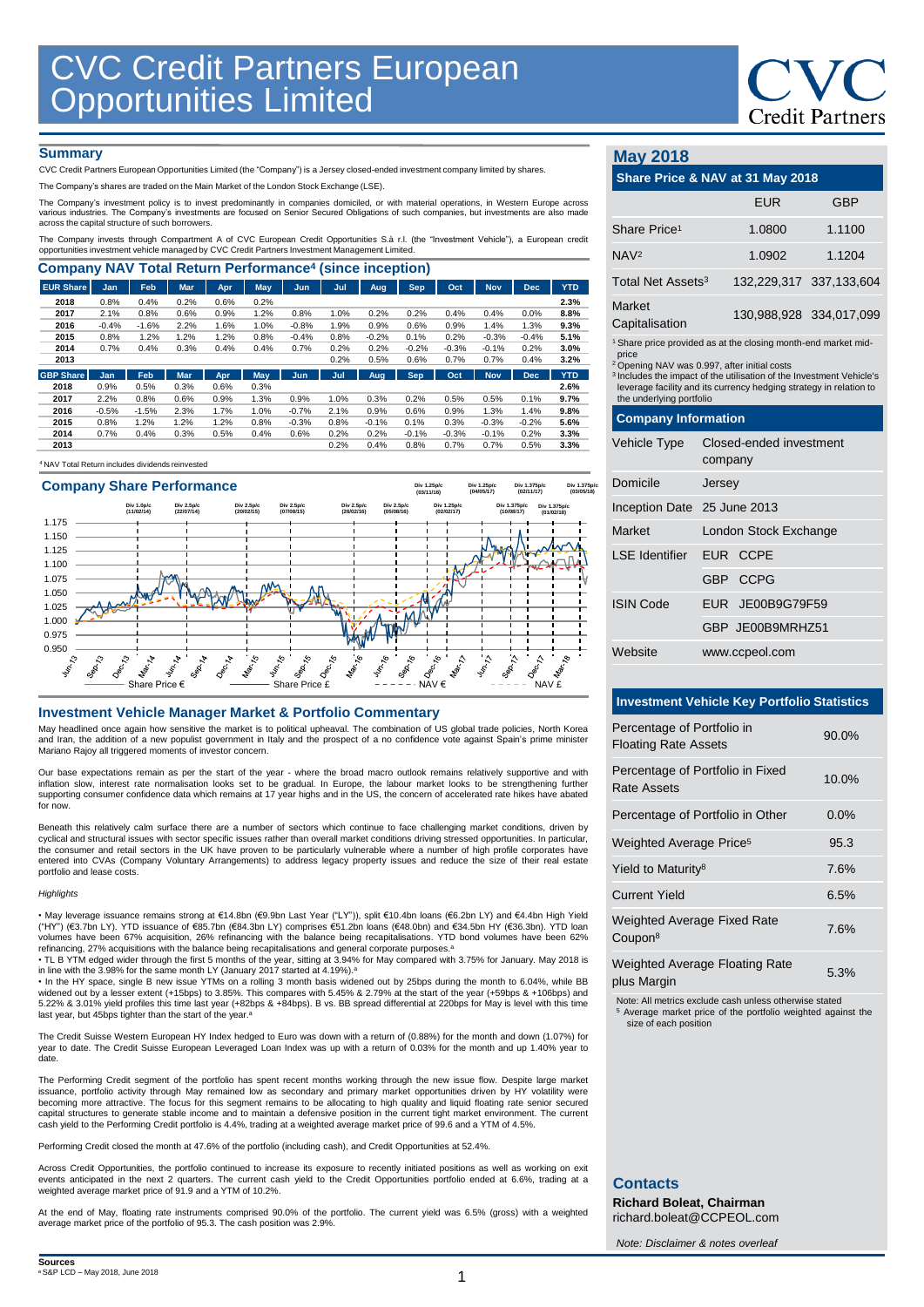# **Credit Partners**

### **Summary**

CVC Credit Partners European Opportunities Limited (the "Company") is a Jersey closed-ended investment company limited by shares.

The Company's shares are traded on the Main Market of the London Stock Exchange (LSE).

The Company's investment policy is to invest predominantly in companies domiciled, or with material operations, in Western Europe across various industries. The Company's investments are focused on Senior Secured Obligations of such companies, but investments are also made across the capital structure of such borrowers.

The Company invests through Compartment A of CVC European Credit Opportunities S.à r.l. (the "Investment Vehicle"), a European credit<br>opportunities investment vehicle managed by CVC Credit Partners Investment Management Li

| <b>Company NAV Total Return Performance<sup>4</sup> (since inception)</b> |         |         |            |            |      |            |      |         |            |         |            |            |            |
|---------------------------------------------------------------------------|---------|---------|------------|------------|------|------------|------|---------|------------|---------|------------|------------|------------|
| <b>EUR Share</b>                                                          | Jan     | Feb     | <b>Mar</b> | <b>Apr</b> | May  | Jun        | Jul  | Aug     | Sep.       | Oct     | <b>Nov</b> | <b>Dec</b> | <b>YTD</b> |
| 2018                                                                      | 0.8%    | 0.4%    | 0.2%       | 0.6%       | 0.2% |            |      |         |            |         |            |            | 2.3%       |
| 2017                                                                      | 2.1%    | 0.8%    | 0.6%       | 0.9%       | 1.2% | 0.8%       | 1.0% | 0.2%    | 0.2%       | 0.4%    | 0.4%       | 0.0%       | 8.8%       |
| 2016                                                                      | $-0.4%$ | $-1.6%$ | 2.2%       | 1.6%       | 1.0% | $-0.8%$    | 1.9% | 0.9%    | 0.6%       | 0.9%    | 1.4%       | 1.3%       | 9.3%       |
| 2015                                                                      | 0.8%    | 1.2%    | 1.2%       | 1.2%       | 0.8% | $-0.4%$    | 0.8% | $-0.2%$ | 0.1%       | 0.2%    | $-0.3%$    | $-0.4%$    | 5.1%       |
| 2014                                                                      | 0.7%    | 0.4%    | 0.3%       | 0.4%       | 0.4% | 0.7%       | 0.2% | 0.2%    | $-0.2%$    | $-0.3%$ | $-0.1%$    | 0.2%       | 3.0%       |
| 2013                                                                      |         |         |            |            |      |            | 0.2% | 0.5%    | 0.6%       | 0.7%    | 0.7%       | 0.4%       | 3.2%       |
| <b>GBP Share</b>                                                          | Jan     | Feb     | <b>Mar</b> | Apr.       | May  | <b>Jun</b> | Jul  | Aug     | <b>Sep</b> | Oct     | <b>Nov</b> | <b>Dec</b> | <b>YTD</b> |
| 2018                                                                      | 0.9%    | 0.5%    | 0.3%       | 0.6%       | 0.3% |            |      |         |            |         |            |            | 2.6%       |
| 2017                                                                      | 2.2%    | 0.8%    | 0.6%       | 0.9%       | 1.3% | 0.9%       | 1.0% | 0.3%    | 0.2%       | 0.5%    | 0.5%       | 0.1%       | 9.7%       |
| 2016                                                                      | $-0.5%$ | $-1.5%$ | 2.3%       | 1.7%       | 1.0% | $-0.7%$    | 2.1% | 0.9%    | 0.6%       | 0.9%    | 1.3%       | 1.4%       | 9.8%       |
| 2015                                                                      | 0.8%    | 1.2%    | 1.2%       | 1.2%       | 0.8% | $-0.3%$    | 0.8% | $-0.1%$ | 0.1%       | 0.3%    | $-0.3%$    | $-0.2%$    | 5.6%       |
| 2014                                                                      | 0.7%    | 0.4%    | 0.3%       | 0.5%       | 0.4% | 0.6%       | 0.2% | 0.2%    | $-0.1%$    | $-0.3%$ | $-0.1%$    | 0.2%       | 3.3%       |
| 2013                                                                      |         |         |            |            |      |            | 0.2% | 0.4%    | 0.8%       | 0.7%    | 0.7%       | 0.5%       | 3.3%       |
|                                                                           |         |         |            |            |      |            |      |         |            |         |            |            |            |

<sup>4</sup>NAV Total Return includes dividends reinvested



### **Investment Vehicle Manager Market & Portfolio Commentary**

May headlined once again how sensitive the market is to political upheaval. The combination of US global trade policies, North Korea and Iran, the addition of a new populist government in Italy and the prospect of a no confidence vote against Spain's prime minister Mariano Rajoy all triggered moments of investor concern.

Our base expectations remain as per the start of the year - where the broad macro outlook remains relatively supportive and with inflation slow, interest rate normalisation looks set to be gradual. In Europe, the labour market looks to be strengthening further supporting consumer confidence data which remains at 17 year highs and in the US, the concern of accelerated rate hikes have abated for now.

Beneath this relatively calm surface there are a number of sectors which continue to face challenging market conditions, driven by cyclical and structural issues with sector specific issues rather than overall market conditions driving stressed opportunities. In particular,<br>the consumer and retail sectors in the UK have proven to be particularly vulne entered into CVAs (Company Voluntary Arrangements) to address legacy property issues and reduce the size of their real estate portfolio and lease costs.

#### *Highlights*

• May leverage issuance remains strong at €14.8bn (€9.9bn Last Year ("LY")), split €10.4bn loans (€6.2bn LY) and €4.4bn High Yield ("HY") (€3.7bn LY). YTD issuance of €85.7bn (€84.3bn LY) comprises €51.2bn loans (€48.0bn) and €34.5bn HY (€36.3bn). YTD loan volumes have been 67% acquisition, 26% refinancing with the balance being recapitalisations. YTD bond volumes have been 62%<br>refinancing, 27% acquisitions with the balance being recapitalisations and general corporate purp

in line with the 3.98% for the same month LY (January 2017 started at 4.19%).ª<br>• In the HY space, single B new issue YTMs on a rolling 3 month basis widened out by 25bps during the month to 6.04%, while BB

widened out by a lesser extent (+15bps) to 3.85%. This compares with 5.45% & 2.79% at the start of the year (+59bps & +106bps) and<br>5.22% & 3.01% yield profiles this time last year (+82bps & +84bps). B vs. BB spread differe last year, but 45bps tighter than the start of the year.<sup>a</sup>

The Credit Suisse Western European HY Index hedged to Euro was down with a return of (0.88%) for the month and down (1.07%) for year to date. The Credit Suisse European Leveraged Loan Index was up with a return of 0.03% for the month and up 1.40% year to date.

The Performing Credit segment of the portfolio has spent recent months working through the new issue flow. Despite large market issuance, portfolio activity through May remained low as secondary and primary market opportunities driven by HY volatility were<br>becoming more attractive. The focus for this segment remains to be allocating to high quality capital structures to generate stable income and to maintain a defensive position in the current tight market environment. The current cash yield to the Performing Credit portfolio is 4.4%, trading at a weighted average market price of 99.6 and a YTM of 4.5%.

Performing Credit closed the month at 47.6% of the portfolio (including cash), and Credit Opportunities at 52.4%.

Across Credit Opportunities, the portfolio continued to increase its exposure to recently initiated positions as well as working on exit events anticipated in the next 2 quarters. The current cash yield to the Credit Opportunities portfolio ended at 6.6%, trading at a weighted average market price of 91.9 and a YTM of 10.2%.

At the end of May, floating rate instruments comprised 90.0% of the portfolio. The current yield was 6.5% (gross) with a weighted average market price of the portfolio of 95.3. The cash position was 2.9%.

### **May 2018**

| Mav 2018                                                                                                                                                                                                                                                                                                                           |                       |                                    |                         |  |  |  |  |
|------------------------------------------------------------------------------------------------------------------------------------------------------------------------------------------------------------------------------------------------------------------------------------------------------------------------------------|-----------------------|------------------------------------|-------------------------|--|--|--|--|
| Share Price & NAV at 31 May 2018                                                                                                                                                                                                                                                                                                   |                       |                                    |                         |  |  |  |  |
|                                                                                                                                                                                                                                                                                                                                    |                       | <b>EUR</b>                         | GBP                     |  |  |  |  |
| Share Price <sup>1</sup>                                                                                                                                                                                                                                                                                                           |                       | 1.0800                             | 1.1100                  |  |  |  |  |
| NAV <sup>2</sup>                                                                                                                                                                                                                                                                                                                   |                       | 1.0902                             | 1.1204                  |  |  |  |  |
| Total Net Assets <sup>3</sup>                                                                                                                                                                                                                                                                                                      |                       |                                    | 132,229,317 337,133,604 |  |  |  |  |
| Market<br>Capitalisation                                                                                                                                                                                                                                                                                                           |                       |                                    | 130,988,928 334,017,099 |  |  |  |  |
| <sup>1</sup> Share price provided as at the closing month-end market mid-<br>price<br><sup>2</sup> Opening NAV was 0.997, after initial costs<br><sup>3</sup> Includes the impact of the utilisation of the Investment Vehicle's<br>leverage facility and its currency hedging strategy in relation to<br>the underlying portfolio |                       |                                    |                         |  |  |  |  |
| <b>Company Information</b>                                                                                                                                                                                                                                                                                                         |                       |                                    |                         |  |  |  |  |
| Vehicle Type                                                                                                                                                                                                                                                                                                                       |                       | Closed-ended investment<br>company |                         |  |  |  |  |
| Domicile                                                                                                                                                                                                                                                                                                                           | Jersey                |                                    |                         |  |  |  |  |
| Inception Date 25 June 2013                                                                                                                                                                                                                                                                                                        |                       |                                    |                         |  |  |  |  |
| Market                                                                                                                                                                                                                                                                                                                             | London Stock Exchange |                                    |                         |  |  |  |  |
| I SF Identifier                                                                                                                                                                                                                                                                                                                    |                       | EUR CCPE                           |                         |  |  |  |  |
|                                                                                                                                                                                                                                                                                                                                    |                       | GBP CCPG                           |                         |  |  |  |  |
| <b>ISIN Code</b>                                                                                                                                                                                                                                                                                                                   |                       | EUR JE00B9G79F59                   |                         |  |  |  |  |
|                                                                                                                                                                                                                                                                                                                                    |                       | GBP JE00B9MRHZ51                   |                         |  |  |  |  |
| Website                                                                                                                                                                                                                                                                                                                            |                       | www.ccpeol.com                     |                         |  |  |  |  |

### **Investment Vehicle Key Portfolio Statistics**

| Percentage of Portfolio in<br><b>Floating Rate Assets</b> | $90.0\%$   |
|-----------------------------------------------------------|------------|
| Percentage of Portfolio in Fixed<br>Rate Assets           | $10.0\%$   |
| Percentage of Portfolio in Other                          | $0.0\%$    |
| Weighted Average Price <sup>5</sup>                       | 95.3       |
| Yield to Maturity <sup>8</sup>                            | 7.6%       |
| <b>Current Yield</b>                                      | 6.5%       |
| <b>Weighted Average Fixed Rate</b><br>Coupon <sup>8</sup> | 7.6%       |
| <b>Weighted Average Floating Rate</b>                     | $F \cap T$ |

plus Margin 6.3%

Note: All metrics exclude cash unless otherwise stated

<sup>5</sup> Average market price of the portfolio weighted against the size of each position

### **Contacts**

**Richard Boleat, Chairman**  richard.boleat@CCPEOL.com

*Note: Disclaimer & notes overleaf*